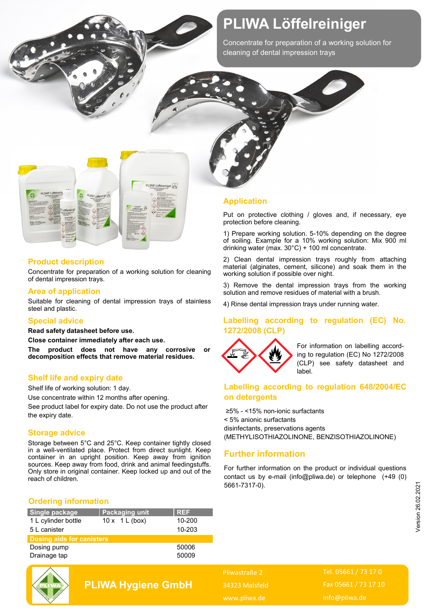## **PLIWA Löffelreiniger**

Concentrate for preparation of a working solution for cleaning of dental impression trays



### **Product description**

Concentrate for preparation of a working solution for cleaning of dental impression trays.

#### **Area of application**

Suitable for cleaning of dental impression trays of stainless steel and plastic.

#### **Special advice**

**Read safety datasheet before use.** 

**Close container immediately after each use.** 

**The product does not have any corrosive or decomposition effects that remove material residues.**

#### **Shelf life and expiry date**

Shelf life of working solution: 1 day.

Use concentrate within 12 months after opening.

See product label for expiry date. Do not use the product after the expiry date.

#### **Storage advice**

Storage between 5°C and 25°C. Keep container tightly closed in a well-ventilated place. Protect from direct sunlight. Keep container in an upright position. Keep away from ignition sources. Keep away from food, drink and animal feedingstuffs. Only store in original container. Keep locked up and out of the reach of children.

#### **Ordering information**

| Single package                   | <b>Packaging unit</b>            | <b>REF</b> |
|----------------------------------|----------------------------------|------------|
| 1 L cylinder bottle              | $10x \quad 1 \quad \text{(box)}$ | 10-200     |
| 5 L canister                     |                                  | 10-203     |
| <b>Dosing aids for canisters</b> |                                  |            |
| Dosing pump                      |                                  | 50006      |
| Drainage tap                     |                                  | 50009      |

**PLIWA Hygiene GmbH**

#### **Application**

Put on protective clothing / gloves and, if necessary, eye protection before cleaning.

1) Prepare working solution. 5-10% depending on the degree of soiling. Example for a 10% working solution: Mix 900 ml drinking water (max. 30°C) + 100 ml concentrate.

2) Clean dental impression trays roughly from attaching material (alginates, cement, silicone) and soak them in the working solution if possible over night.

3) Remove the dental impression trays from the working solution and remove residues of material with a brush.

4) Rinse dental impression trays under running water.

#### **Labelling according to regulation (EC) No. 1272/2008 (CLP)**



For information on labelling according to regulation (EC) No 1272/2008 (CLP) see safety datasheet and label.

#### **Labelling according to regulation 648/2004/EC on detergents**

≥5% - <15% non-ionic surfactants < 5% anionic surfactants disinfectants, preservations agents (METHYLISOTHIAZOLINONE, BENZISOTHIAZOLINONE)

### **Further information**

For further information on the product or individual questions contact us by e-mail (info@pliwa.de) or telephone (+49 (0) 5661-7317-0).

Pliwastraße 2 34323 Malsfeld www.pliwa.de

Tel. 05661 / 73 17 0 Fax 05661 / 73 17 10 info@pliwa.de